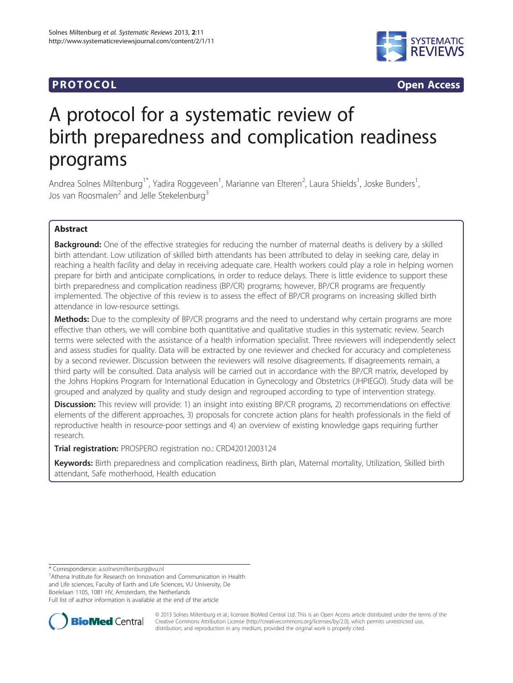## **PROTOCOL CONSUMING ACCESS**



# A protocol for a systematic review of birth preparedness and complication readiness programs

Andrea Solnes Miltenburg<sup>1\*</sup>, Yadira Roggeveen<sup>1</sup>, Marianne van Elteren<sup>2</sup>, Laura Shields<sup>1</sup>, Joske Bunders<sup>1</sup> , Jos van Roosmalen<sup>2</sup> and Jelle Stekelenburg<sup>3</sup>

## Abstract

**Background:** One of the effective strategies for reducing the number of maternal deaths is delivery by a skilled birth attendant. Low utilization of skilled birth attendants has been attributed to delay in seeking care, delay in reaching a health facility and delay in receiving adequate care. Health workers could play a role in helping women prepare for birth and anticipate complications, in order to reduce delays. There is little evidence to support these birth preparedness and complication readiness (BP/CR) programs; however, BP/CR programs are frequently implemented. The objective of this review is to assess the effect of BP/CR programs on increasing skilled birth attendance in low-resource settings.

Methods: Due to the complexity of BP/CR programs and the need to understand why certain programs are more effective than others, we will combine both quantitative and qualitative studies in this systematic review. Search terms were selected with the assistance of a health information specialist. Three reviewers will independently select and assess studies for quality. Data will be extracted by one reviewer and checked for accuracy and completeness by a second reviewer. Discussion between the reviewers will resolve disagreements. If disagreements remain, a third party will be consulted. Data analysis will be carried out in accordance with the BP/CR matrix, developed by the Johns Hopkins Program for International Education in Gynecology and Obstetrics (JHPIEGO). Study data will be grouped and analyzed by quality and study design and regrouped according to type of intervention strategy.

**Discussion:** This review will provide: 1) an insight into existing BP/CR programs, 2) recommendations on effective elements of the different approaches, 3) proposals for concrete action plans for health professionals in the field of reproductive health in resource-poor settings and 4) an overview of existing knowledge gaps requiring further research.

Trial registration: PROSPERO registration no.: CRD42012003124

Keywords: Birth preparedness and complication readiness, Birth plan, Maternal mortality, Utilization, Skilled birth attendant, Safe motherhood, Health education

\* Correspondence: [a.solnesmiltenburg@vu.nl](mailto:a.solnesmiltenburg@vu.nl) <sup>1</sup>

<sup>1</sup>Athena Institute for Research on Innovation and Communication in Health and Life sciences, Faculty of Earth and Life Sciences, VU University, De Boelelaan 1105, 1081 HV, Amsterdam, the Netherlands Full list of author information is available at the end of the article



© 2013 Solnes Miltenburg et al.; licensee BioMed Central Ltd. This is an Open Access article distributed under the terms of the Creative Commons Attribution License (<http://creativecommons.org/licenses/by/2.0>), which permits unrestricted use, distribution, and reproduction in any medium, provided the original work is properly cited.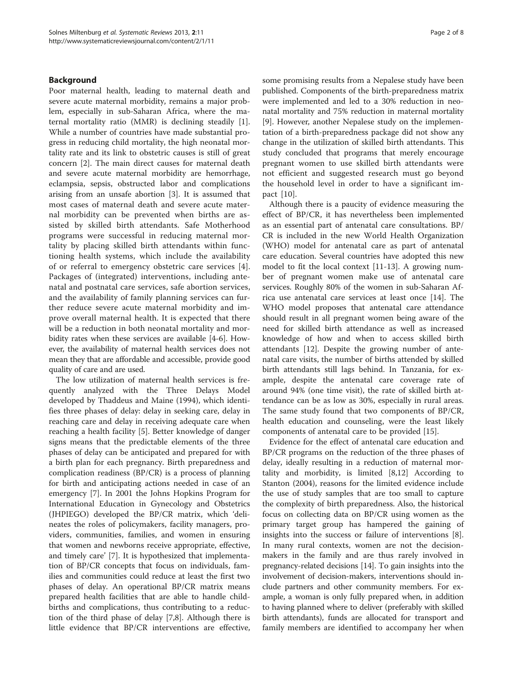## Background

Poor maternal health, leading to maternal death and severe acute maternal morbidity, remains a major problem, especially in sub-Saharan Africa, where the maternal mortality ratio (MMR) is declining steadily [\[1](#page-6-0)]. While a number of countries have made substantial progress in reducing child mortality, the high neonatal mortality rate and its link to obstetric causes is still of great concern [[2](#page-6-0)]. The main direct causes for maternal death and severe acute maternal morbidity are hemorrhage, eclampsia, sepsis, obstructed labor and complications arising from an unsafe abortion [\[3\]](#page-6-0). It is assumed that most cases of maternal death and severe acute maternal morbidity can be prevented when births are assisted by skilled birth attendants. Safe Motherhood programs were successful in reducing maternal mortality by placing skilled birth attendants within functioning health systems, which include the availability of or referral to emergency obstetric care services [[4](#page-6-0)]. Packages of (integrated) interventions, including antenatal and postnatal care services, safe abortion services, and the availability of family planning services can further reduce severe acute maternal morbidity and improve overall maternal health. It is expected that there will be a reduction in both neonatal mortality and morbidity rates when these services are available [[4-6](#page-6-0)]. However, the availability of maternal health services does not mean they that are affordable and accessible, provide good quality of care and are used.

The low utilization of maternal health services is frequently analyzed with the Three Delays Model developed by Thaddeus and Maine (1994), which identifies three phases of delay: delay in seeking care, delay in reaching care and delay in receiving adequate care when reaching a health facility [[5\]](#page-6-0). Better knowledge of danger signs means that the predictable elements of the three phases of delay can be anticipated and prepared for with a birth plan for each pregnancy. Birth preparedness and complication readiness (BP/CR) is a process of planning for birth and anticipating actions needed in case of an emergency [[7\]](#page-6-0). In 2001 the Johns Hopkins Program for International Education in Gynecology and Obstetrics (JHPIEGO) developed the BP/CR matrix, which 'delineates the roles of policymakers, facility managers, providers, communities, families, and women in ensuring that women and newborns receive appropriate, effective, and timely care' [\[7](#page-6-0)]. It is hypothesized that implementation of BP/CR concepts that focus on individuals, families and communities could reduce at least the first two phases of delay. An operational BP/CR matrix means prepared health facilities that are able to handle childbirths and complications, thus contributing to a reduction of the third phase of delay [[7,8\]](#page-6-0). Although there is little evidence that BP/CR interventions are effective,

some promising results from a Nepalese study have been published. Components of the birth-preparedness matrix were implemented and led to a 30% reduction in neonatal mortality and 75% reduction in maternal mortality [[9\]](#page-6-0). However, another Nepalese study on the implementation of a birth-preparedness package did not show any change in the utilization of skilled birth attendants. This study concluded that programs that merely encourage pregnant women to use skilled birth attendants were not efficient and suggested research must go beyond the household level in order to have a significant impact [\[10](#page-6-0)].

Although there is a paucity of evidence measuring the effect of BP/CR, it has nevertheless been implemented as an essential part of antenatal care consultations. BP/ CR is included in the new World Health Organization (WHO) model for antenatal care as part of antenatal care education. Several countries have adopted this new model to fit the local context [[11-13](#page-6-0)]. A growing number of pregnant women make use of antenatal care services. Roughly 80% of the women in sub-Saharan Africa use antenatal care services at least once [[14\]](#page-6-0). The WHO model proposes that antenatal care attendance should result in all pregnant women being aware of the need for skilled birth attendance as well as increased knowledge of how and when to access skilled birth attendants [[12](#page-6-0)]. Despite the growing number of antenatal care visits, the number of births attended by skilled birth attendants still lags behind. In Tanzania, for example, despite the antenatal care coverage rate of around 94% (one time visit), the rate of skilled birth attendance can be as low as 30%, especially in rural areas. The same study found that two components of BP/CR, health education and counseling, were the least likely components of antenatal care to be provided [[15](#page-6-0)].

Evidence for the effect of antenatal care education and BP/CR programs on the reduction of the three phases of delay, ideally resulting in a reduction of maternal mortality and morbidity, is limited [\[8,12](#page-6-0)] According to Stanton (2004), reasons for the limited evidence include the use of study samples that are too small to capture the complexity of birth preparedness. Also, the historical focus on collecting data on BP/CR using women as the primary target group has hampered the gaining of insights into the success or failure of interventions [\[8](#page-6-0)]. In many rural contexts, women are not the decisionmakers in the family and are thus rarely involved in pregnancy-related decisions [[14\]](#page-6-0). To gain insights into the involvement of decision-makers, interventions should include partners and other community members. For example, a woman is only fully prepared when, in addition to having planned where to deliver (preferably with skilled birth attendants), funds are allocated for transport and family members are identified to accompany her when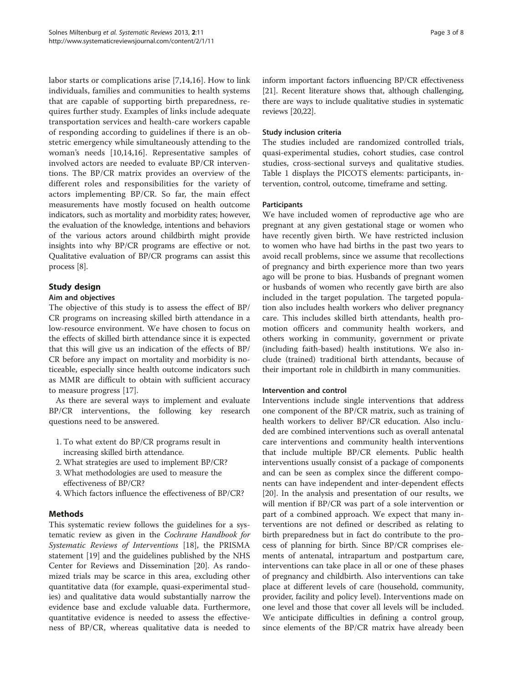labor starts or complications arise [[7,14,16](#page-6-0)]. How to link individuals, families and communities to health systems that are capable of supporting birth preparedness, requires further study. Examples of links include adequate transportation services and health-care workers capable of responding according to guidelines if there is an obstetric emergency while simultaneously attending to the woman's needs [[10,14](#page-6-0),[16\]](#page-6-0). Representative samples of involved actors are needed to evaluate BP/CR interventions. The BP/CR matrix provides an overview of the different roles and responsibilities for the variety of actors implementing BP/CR. So far, the main effect measurements have mostly focused on health outcome indicators, such as mortality and morbidity rates; however, the evaluation of the knowledge, intentions and behaviors of the various actors around childbirth might provide insights into why BP/CR programs are effective or not. Qualitative evaluation of BP/CR programs can assist this process [\[8](#page-6-0)].

## Study design

## Aim and objectives

The objective of this study is to assess the effect of BP/ CR programs on increasing skilled birth attendance in a low-resource environment. We have chosen to focus on the effects of skilled birth attendance since it is expected that this will give us an indication of the effects of BP/ CR before any impact on mortality and morbidity is noticeable, especially since health outcome indicators such as MMR are difficult to obtain with sufficient accuracy to measure progress [[17](#page-6-0)].

As there are several ways to implement and evaluate BP/CR interventions, the following key research questions need to be answered.

- 1. To what extent do BP/CR programs result in increasing skilled birth attendance.
- 2. What strategies are used to implement BP/CR?
- 3. What methodologies are used to measure the effectiveness of BP/CR?
- 4. Which factors influence the effectiveness of BP/CR?

## Methods

This systematic review follows the guidelines for a systematic review as given in the Cochrane Handbook for Systematic Reviews of Interventions [[18](#page-6-0)], the PRISMA statement [\[19](#page-6-0)] and the guidelines published by the NHS Center for Reviews and Dissemination [\[20\]](#page-6-0). As randomized trials may be scarce in this area, excluding other quantitative data (for example, quasi-experimental studies) and qualitative data would substantially narrow the evidence base and exclude valuable data. Furthermore, quantitative evidence is needed to assess the effectiveness of BP/CR, whereas qualitative data is needed to inform important factors influencing BP/CR effectiveness [[21](#page-6-0)]. Recent literature shows that, although challenging, there are ways to include qualitative studies in systematic reviews [\[20,22](#page-6-0)].

## Study inclusion criteria

The studies included are randomized controlled trials, quasi-experimental studies, cohort studies, case control studies, cross-sectional surveys and qualitative studies. Table [1](#page-3-0) displays the PICOTS elements: participants, intervention, control, outcome, timeframe and setting.

## **Participants**

We have included women of reproductive age who are pregnant at any given gestational stage or women who have recently given birth. We have restricted inclusion to women who have had births in the past two years to avoid recall problems, since we assume that recollections of pregnancy and birth experience more than two years ago will be prone to bias. Husbands of pregnant women or husbands of women who recently gave birth are also included in the target population. The targeted population also includes health workers who deliver pregnancy care. This includes skilled birth attendants, health promotion officers and community health workers, and others working in community, government or private (including faith-based) health institutions. We also include (trained) traditional birth attendants, because of their important role in childbirth in many communities.

## Intervention and control

Interventions include single interventions that address one component of the BP/CR matrix, such as training of health workers to deliver BP/CR education. Also included are combined interventions such as overall antenatal care interventions and community health interventions that include multiple BP/CR elements. Public health interventions usually consist of a package of components and can be seen as complex since the different components can have independent and inter-dependent effects [[20\]](#page-6-0). In the analysis and presentation of our results, we will mention if BP/CR was part of a sole intervention or part of a combined approach. We expect that many interventions are not defined or described as relating to birth preparedness but in fact do contribute to the process of planning for birth. Since BP/CR comprises elements of antenatal, intrapartum and postpartum care, interventions can take place in all or one of these phases of pregnancy and childbirth. Also interventions can take place at different levels of care (household, community, provider, facility and policy level). Interventions made on one level and those that cover all levels will be included. We anticipate difficulties in defining a control group, since elements of the BP/CR matrix have already been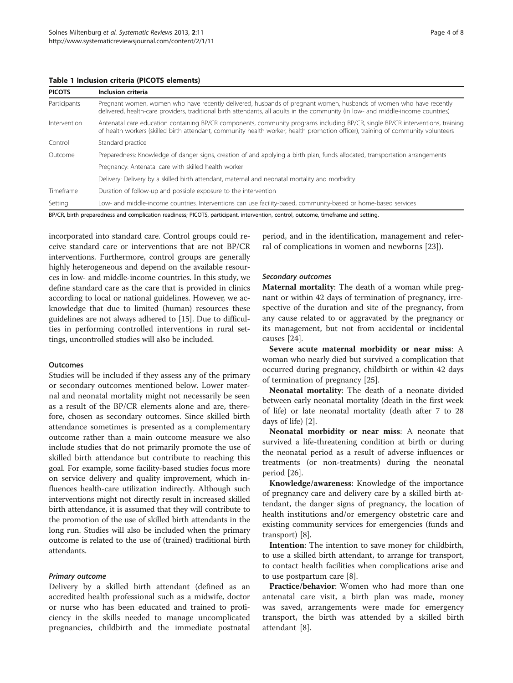| <b>PICOTS</b> | Inclusion criteria                                                                                                                                                                                                                                                 |
|---------------|--------------------------------------------------------------------------------------------------------------------------------------------------------------------------------------------------------------------------------------------------------------------|
| Participants  | Pregnant women, women who have recently delivered, husbands of pregnant women, husbands of women who have recently<br>delivered, health-care providers, traditional birth attendants, all adults in the community (in low- and middle-income countries)            |
| Intervention  | Antenatal care education containing BP/CR components, community programs including BP/CR, single BP/CR interventions, training<br>of health workers (skilled birth attendant, community health worker, health promotion officer), training of community volunteers |
| Control       | Standard practice                                                                                                                                                                                                                                                  |
| Outcome       | Preparedness: Knowledge of danger signs, creation of and applying a birth plan, funds allocated, transportation arrangements                                                                                                                                       |
|               | Pregnancy: Antenatal care with skilled health worker                                                                                                                                                                                                               |
|               | Delivery: Delivery by a skilled birth attendant, maternal and neonatal mortality and morbidity                                                                                                                                                                     |
| Timeframe     | Duration of follow-up and possible exposure to the intervention                                                                                                                                                                                                    |
| Setting       | Low- and middle-income countries. Interventions can use facility-based, community-based or home-based services                                                                                                                                                     |

## <span id="page-3-0"></span>Table 1 Inclusion criteria (PICOTS elements)

BP/CR, birth preparedness and complication readiness; PICOTS, participant, intervention, control, outcome, timeframe and setting.

incorporated into standard care. Control groups could receive standard care or interventions that are not BP/CR interventions. Furthermore, control groups are generally highly heterogeneous and depend on the available resources in low- and middle-income countries. In this study, we define standard care as the care that is provided in clinics according to local or national guidelines. However, we acknowledge that due to limited (human) resources these guidelines are not always adhered to [\[15](#page-6-0)]. Due to difficulties in performing controlled interventions in rural settings, uncontrolled studies will also be included.

#### **Outcomes**

Studies will be included if they assess any of the primary or secondary outcomes mentioned below. Lower maternal and neonatal mortality might not necessarily be seen as a result of the BP/CR elements alone and are, therefore, chosen as secondary outcomes. Since skilled birth attendance sometimes is presented as a complementary outcome rather than a main outcome measure we also include studies that do not primarily promote the use of skilled birth attendance but contribute to reaching this goal. For example, some facility-based studies focus more on service delivery and quality improvement, which influences health-care utilization indirectly. Although such interventions might not directly result in increased skilled birth attendance, it is assumed that they will contribute to the promotion of the use of skilled birth attendants in the long run. Studies will also be included when the primary outcome is related to the use of (trained) traditional birth attendants.

#### Primary outcome

Delivery by a skilled birth attendant (defined as an accredited health professional such as a midwife, doctor or nurse who has been educated and trained to proficiency in the skills needed to manage uncomplicated pregnancies, childbirth and the immediate postnatal

period, and in the identification, management and referral of complications in women and newborns [[23](#page-6-0)]).

#### Secondary outcomes

Maternal mortality: The death of a woman while pregnant or within 42 days of termination of pregnancy, irrespective of the duration and site of the pregnancy, from any cause related to or aggravated by the pregnancy or its management, but not from accidental or incidental causes [[24\]](#page-6-0).

Severe acute maternal morbidity or near miss: A woman who nearly died but survived a complication that occurred during pregnancy, childbirth or within 42 days of termination of pregnancy [[25\]](#page-6-0).

Neonatal mortality: The death of a neonate divided between early neonatal mortality (death in the first week of life) or late neonatal mortality (death after 7 to 28 days of life) [[2\]](#page-6-0).

Neonatal morbidity or near miss: A neonate that survived a life-threatening condition at birth or during the neonatal period as a result of adverse influences or treatments (or non-treatments) during the neonatal period [\[26\]](#page-6-0).

Knowledge/awareness: Knowledge of the importance of pregnancy care and delivery care by a skilled birth attendant, the danger signs of pregnancy, the location of health institutions and/or emergency obstetric care and existing community services for emergencies (funds and transport) [[8\]](#page-6-0).

Intention: The intention to save money for childbirth, to use a skilled birth attendant, to arrange for transport, to contact health facilities when complications arise and to use postpartum care [[8](#page-6-0)].

Practice/behavior: Women who had more than one antenatal care visit, a birth plan was made, money was saved, arrangements were made for emergency transport, the birth was attended by a skilled birth attendant [\[8](#page-6-0)].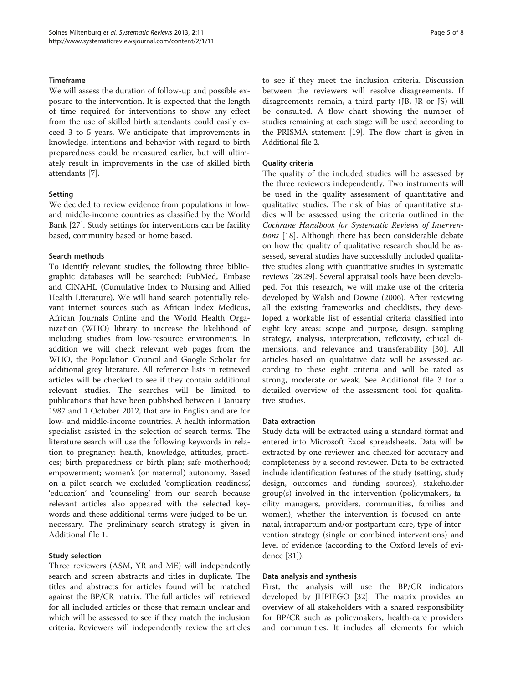#### **Timeframe**

We will assess the duration of follow-up and possible exposure to the intervention. It is expected that the length of time required for interventions to show any effect from the use of skilled birth attendants could easily exceed 3 to 5 years. We anticipate that improvements in knowledge, intentions and behavior with regard to birth preparedness could be measured earlier, but will ultimately result in improvements in the use of skilled birth attendants [\[7](#page-6-0)].

## Setting

We decided to review evidence from populations in lowand middle-income countries as classified by the World Bank [[27](#page-6-0)]. Study settings for interventions can be facility based, community based or home based.

#### Search methods

To identify relevant studies, the following three bibliographic databases will be searched: PubMed, Embase and CINAHL (Cumulative Index to Nursing and Allied Health Literature). We will hand search potentially relevant internet sources such as African Index Medicus, African Journals Online and the World Health Organization (WHO) library to increase the likelihood of including studies from low-resource environments. In addition we will check relevant web pages from the WHO, the Population Council and Google Scholar for additional grey literature. All reference lists in retrieved articles will be checked to see if they contain additional relevant studies. The searches will be limited to publications that have been published between 1 January 1987 and 1 October 2012, that are in English and are for low- and middle-income countries. A health information specialist assisted in the selection of search terms. The literature search will use the following keywords in relation to pregnancy: health, knowledge, attitudes, practices; birth preparedness or birth plan; safe motherhood; empowerment; women's (or maternal) autonomy. Based on a pilot search we excluded 'complication readiness', 'education' and 'counseling' from our search because relevant articles also appeared with the selected keywords and these additional terms were judged to be unnecessary. The preliminary search strategy is given in Additional file [1.](#page-5-0)

## Study selection

Three reviewers (ASM, YR and ME) will independently search and screen abstracts and titles in duplicate. The titles and abstracts for articles found will be matched against the BP/CR matrix. The full articles will retrieved for all included articles or those that remain unclear and which will be assessed to see if they match the inclusion criteria. Reviewers will independently review the articles to see if they meet the inclusion criteria. Discussion between the reviewers will resolve disagreements. If disagreements remain, a third party (JB, JR or JS) will be consulted. A flow chart showing the number of studies remaining at each stage will be used according to the PRISMA statement [[19](#page-6-0)]. The flow chart is given in Additional file [2](#page-5-0).

#### Quality criteria

The quality of the included studies will be assessed by the three reviewers independently. Two instruments will be used in the quality assessment of quantitative and qualitative studies. The risk of bias of quantitative studies will be assessed using the criteria outlined in the Cochrane Handbook for Systematic Reviews of Interventions [[18\]](#page-6-0). Although there has been considerable debate on how the quality of qualitative research should be assessed, several studies have successfully included qualitative studies along with quantitative studies in systematic reviews [\[28,29\]](#page-6-0). Several appraisal tools have been developed. For this research, we will make use of the criteria developed by Walsh and Downe (2006). After reviewing all the existing frameworks and checklists, they developed a workable list of essential criteria classified into eight key areas: scope and purpose, design, sampling strategy, analysis, interpretation, reflexivity, ethical dimensions, and relevance and transferability [\[30](#page-6-0)]. All articles based on qualitative data will be assessed according to these eight criteria and will be rated as strong, moderate or weak. See Additional file [3](#page-5-0) for a detailed overview of the assessment tool for qualitative studies.

#### Data extraction

Study data will be extracted using a standard format and entered into Microsoft Excel spreadsheets. Data will be extracted by one reviewer and checked for accuracy and completeness by a second reviewer. Data to be extracted include identification features of the study (setting, study design, outcomes and funding sources), stakeholder group(s) involved in the intervention (policymakers, facility managers, providers, communities, families and women), whether the intervention is focused on antenatal, intrapartum and/or postpartum care, type of intervention strategy (single or combined interventions) and level of evidence (according to the Oxford levels of evidence [[31](#page-6-0)]).

## Data analysis and synthesis

First, the analysis will use the BP/CR indicators developed by JHPIEGO [[32](#page-7-0)]. The matrix provides an overview of all stakeholders with a shared responsibility for BP/CR such as policymakers, health-care providers and communities. It includes all elements for which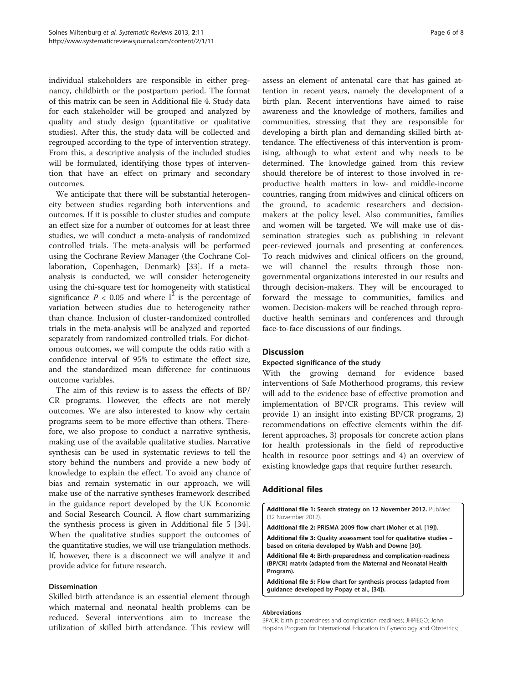<span id="page-5-0"></span>individual stakeholders are responsible in either pregnancy, childbirth or the postpartum period. The format of this matrix can be seen in Additional file 4. Study data for each stakeholder will be grouped and analyzed by quality and study design (quantitative or qualitative studies). After this, the study data will be collected and regrouped according to the type of intervention strategy. From this, a descriptive analysis of the included studies will be formulated, identifying those types of intervention that have an effect on primary and secondary outcomes.

We anticipate that there will be substantial heterogeneity between studies regarding both interventions and outcomes. If it is possible to cluster studies and compute an effect size for a number of outcomes for at least three studies, we will conduct a meta-analysis of randomized controlled trials. The meta-analysis will be performed using the Cochrane Review Manager (the Cochrane Collaboration, Copenhagen, Denmark) [[33](#page-7-0)]. If a metaanalysis is conducted, we will consider heterogeneity using the chi-square test for homogeneity with statistical significance  $P < 0.05$  and where  $I^2$  is the percentage of variation between studies due to heterogeneity rather than chance. Inclusion of cluster-randomized controlled trials in the meta-analysis will be analyzed and reported separately from randomized controlled trials. For dichotomous outcomes, we will compute the odds ratio with a confidence interval of 95% to estimate the effect size, and the standardized mean difference for continuous outcome variables.

The aim of this review is to assess the effects of BP/ CR programs. However, the effects are not merely outcomes. We are also interested to know why certain programs seem to be more effective than others. Therefore, we also propose to conduct a narrative synthesis, making use of the available qualitative studies. Narrative synthesis can be used in systematic reviews to tell the story behind the numbers and provide a new body of knowledge to explain the effect. To avoid any chance of bias and remain systematic in our approach, we will make use of the narrative syntheses framework described in the guidance report developed by the UK Economic and Social Research Council. A flow chart summarizing the synthesis process is given in Additional file 5 [\[34](#page-7-0)]. When the qualitative studies support the outcomes of the quantitative studies, we will use triangulation methods. If, however, there is a disconnect we will analyze it and provide advice for future research.

#### Dissemination

Skilled birth attendance is an essential element through which maternal and neonatal health problems can be reduced. Several interventions aim to increase the utilization of skilled birth attendance. This review will

assess an element of antenatal care that has gained attention in recent years, namely the development of a birth plan. Recent interventions have aimed to raise awareness and the knowledge of mothers, families and communities, stressing that they are responsible for developing a birth plan and demanding skilled birth attendance. The effectiveness of this intervention is promising, although to what extent and why needs to be determined. The knowledge gained from this review should therefore be of interest to those involved in reproductive health matters in low- and middle-income countries, ranging from midwives and clinical officers on the ground, to academic researchers and decisionmakers at the policy level. Also communities, families and women will be targeted. We will make use of dissemination strategies such as publishing in relevant peer-reviewed journals and presenting at conferences. To reach midwives and clinical officers on the ground, we will channel the results through those nongovernmental organizations interested in our results and through decision-makers. They will be encouraged to forward the message to communities, families and women. Decision-makers will be reached through reproductive health seminars and conferences and through face-to-face discussions of our findings.

#### **Discussion**

### Expected significance of the study

With the growing demand for evidence based interventions of Safe Motherhood programs, this review will add to the evidence base of effective promotion and implementation of BP/CR programs. This review will provide 1) an insight into existing BP/CR programs, 2) recommendations on effective elements within the different approaches, 3) proposals for concrete action plans for health professionals in the field of reproductive health in resource poor settings and 4) an overview of existing knowledge gaps that require further research.

## Additional files

[Additional file 1:](http://www.biomedcentral.com/content/supplementary/2046-4053-2-11-S1.pdf) Search strategy on 12 November 2012. PubMed (12 November 2012).

[Additional file 2:](http://www.biomedcentral.com/content/supplementary/2046-4053-2-11-S2.pdf) PRISMA 2009 flow chart (Moher et al. [\[19\]](#page-6-0)).

[Additional file 3:](http://www.biomedcentral.com/content/supplementary/2046-4053-2-11-S3.pdf) Quality assessment tool for qualitative studies – based on criteria developed by Walsh and Downe [[30\]](#page-6-0).

[Additional file 4:](http://www.biomedcentral.com/content/supplementary/2046-4053-2-11-S4.pdf) Birth-preparedness and complication-readiness (BP/CR) matrix (adapted from the Maternal and Neonatal Health Program).

[Additional file 5:](http://www.biomedcentral.com/content/supplementary/2046-4053-2-11-S5.pdf) Flow chart for synthesis process (adapted from guidance developed by Popay et al., [34]).

#### Abbreviations

BP/CR: birth preparedness and complication readiness; JHPIEGO: John Hopkins Program for International Education in Gynecology and Obstetrics;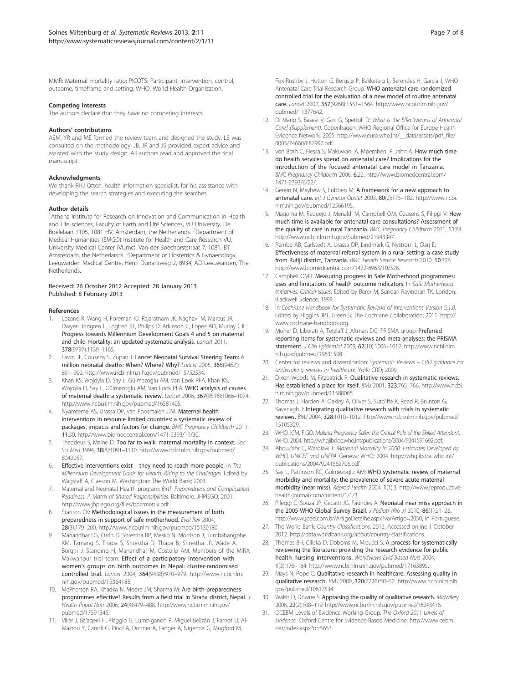<span id="page-6-0"></span>MMR: Maternal mortality ratio; PICOTS: Participant, intervention, control, outcome, timeframe and setting; WHO: World Health Organization.

#### Competing interests

The authors declare that they have no competing interests.

#### Authors' contributions

ASM, YR and ME formed the review team and designed the study. LS was consulted on the methodology. JB, JR and JS provided expert advice and assisted with the study design. All authors read and approved the final manuscript.

#### Acknowledgments

We thank RHJ Otten, health information specialist, for his assistance with developing the search strategies and executing the searches.

#### Author details

<sup>1</sup>Athena Institute for Research on Innovation and Communication in Health and Life sciences, Faculty of Earth and Life Sciences, VU University, De Boelelaan 1105, 1081 HV, Amsterdam, the Netherlands. <sup>2</sup>Department of Medical Humanities (EMGO) Institute for Health and Care Research VU, University Medical Center (VUmc), Van der Boechorststraat 7, 1081, BT Amsterdam, the Netherlands. <sup>3</sup>Department of Obstetrics & Gynaecology, Leeuwarden Medical Centre, Henri Dunantweg 2, 8934, AD Leeuwarden, The Netherlands.

#### Received: 26 October 2012 Accepted: 28 January 2013 Published: 8 February 2013

#### References

- Lozano R, Wang H, Foreman KJ, Rajaratnam JK, Naghavi M, Marcus JR, Dwyer-Lindgren L, Logfren KT, Philips D, Atkinson C, Lopez AD, Murray CJL: Progress towards Millennium Development Goals 4 and 5 on maternal and child mortality: an updated systematic analysis. Lancet 2011, 378(9797):1139–1165.
- 2. Lawn JE, Cousens S, Zupan J: Lancet Neonatal Survival Steering Team: 4 million neonatal deaths: When? Where? Why? Lancet 2005, 365(9462): 891–900. [http://www.ncbi.nlm.nih.gov/pubmed/15752534.](http://www.ncbi.nlm.nih.gov/pubmed/15752534)
- Khan KS, Wojdyla D, Say L, Gülmezoglu AM, Van Look PFA, Khan KS, Wojdyla D, Say L, Gülmezoglu AM, Van Look PFA: WHO analysis of causes of maternal death: a systematic review. Lancet 2006, 367(9516):1066–1074. [http://www.ncbi.nlm.nih.gov/pubmed/16581405.](http://www.ncbi.nlm.nih.gov/pubmed/16581405)
- 4. Nyamtema AS, Urassa DP, van Roosmalen JJM: Maternal health interventions in resource limited countries: a systematic review of packages, impacts and factors for change. BMC Pregnancy Childbirth 2011, 11:30. [http://www.biomedcentral.com/1471-2393/11/30.](http://www.biomedcentral.com/1471-2393/11/30)
- 5. Thaddeus S, Maine D: Too far to walk: maternal mortality in context. Soc Sci Med 1994, 38(8):1091–1110. [http://www.ncbi.nlm.nih.gov/pubmed/](http://www.ncbi.nlm.nih.gov/pubmed/8042057) [8042057.](http://www.ncbi.nlm.nih.gov/pubmed/8042057)
- 6. Effective interventions exist they need to reach more people. In The Millennium Development Goals for Health: Rising to the Challenges. Edited by Wagstaff A, Claeson M. Washington: The World Bank; 2003.
- 7. Maternal and Neonatal Health program: Birth Preparedness and Complication Readiness: A Matrix of Shared Responsibilities. Baltimore: JHPIEGO; 2001. [http://www.jhpiego.org/files/bpcrmatrix.pdf.](http://www.jhpiego.org/files/bpcrmatrix.pdf)
- Stanton CK: Methodological issues in the measurement of birth preparedness in support of safe motherhood. Eval Rev 2004, 28(3):179–200. [http://www.ncbi.nlm.nih.gov/pubmed/15130180.](http://www.ncbi.nlm.nih.gov/pubmed/15130180)
- Manandhar DS, Osrin D, Shrestha BP, Mesko N, Morrison J, Tumbahangphe KM, Tamang S, Thapa S, Shrestha D, Thapa B, Shrestha JR, Wade A, Borghi J, Standing H, Manandhar M, Costello AM, Members of the MIRA Makwanpur trial team: Effect of a participatory intervention with women's groups on birth outcomes in Nepal: cluster-randomised controlled trial. Lancet 2004, 364(9438):970–979. [http://www.ncbi.nlm.](http://www.ncbi.nlm.nih.gov/pubmed/15364188) [nih.gov/pubmed/15364188.](http://www.ncbi.nlm.nih.gov/pubmed/15364188)
- 10. McPherson RA, Khadka N, Moore JM, Sharma M: Are birth-preparedness programmes effective? Results from a field trial in Siraha district, Nepal. J Health Popul Nutr 2006, 24(4):479–488. [http://www.ncbi.nlm.nih.gov/](http://www.ncbi.nlm.nih.gov/pubmed/17591345) [pubmed/17591345.](http://www.ncbi.nlm.nih.gov/pubmed/17591345)
- 11. Villar J, Ba'aqeel H, Piaggio G, Lumbiganon P, Miguel Belizán J, Farnot U, Al-Mazrou Y, Carroli G, Pinol A, Donner A, Langer A, Nigenda G, Mugford M,

Fox-Rushby J, Hutton G, Bergsjø P, Bakketeig L, Berendes H, Garcia J, WHO Antenatal Care Trial Research Group: WHO antenatal care randomized controlled trial for the evaluation of a new model of routine antenatal care. Lancet 2002, 357(9268):1551–1564. [http://www.ncbi.nlm.nih.gov/](http://www.ncbi.nlm.nih.gov/pubmed/11377642) [pubmed/11377642.](http://www.ncbi.nlm.nih.gov/pubmed/11377642)

- 12. Di Mario S, Basevi V, Gori G, Spettoli D: What is the Effectiveness of Antenatal Care? (Supplement). Copenhagen: WHO Regional Office for Europe Health Evidence Network; 2005. [http://www.euro.who.int/\\_\\_data/assets/pdf\\_file/](http://www.euro.who.int/__data/assets/pdf_file/0005/74660/E87997.pdf) [0005/74660/E87997.pdf](http://www.euro.who.int/__data/assets/pdf_file/0005/74660/E87997.pdf).
- 13. von Both C, Flessa S, Makuwani A, Mpembeni R, Jahn A: How much time do health services spend on antenatal care? Implications for the introduction of the focused antenatal care model in Tanzania. BMC Pregnancy Childbirth 2006, 6:22. [http://www.biomedcentral.com/](http://www.biomedcentral.com/1471-2393/6/22/) [1471-2393/6/22/.](http://www.biomedcentral.com/1471-2393/6/22/)
- 14. Gerein N, Mayhew S, Lubben M: A framework for a new approach to antenatal care. Int J Gynecol Obstet 2003, 80(2):175–182. [http://www.ncbi.](http://www.ncbi.nlm.nih.gov/pubmed/12566195) [nlm.nih.gov/pubmed/12566195.](http://www.ncbi.nlm.nih.gov/pubmed/12566195)
- 15. Magoma M, Requejo J, Merialdi M, Campbell OM, Cousens S, Filippi V: How much time is available for antenatal care consultations? Assessment of the quality of care in rural Tanzania. BMC Pregnancy Childbirth 2011, 11:64. [http://www.ncbi.nlm.nih.gov/pubmed/21943347.](http://www.ncbi.nlm.nih.gov/pubmed/21943347)
- 16. Pembe AB, Carlstedt A, Urassa DP, Lindmark G, Nystrom L, Darj E: Effectiveness of maternal referral system in a rural setting: a case study from Rufiji district, Tanzania. BMC Health Service Research 2010, 10:326. <http://www.biomedcentral.com/1472-6963/10/326>.
- 17. Campbell OMR: Measuring progress in Safe Motherhood programmes: uses and limitations of health outcome indicators. In Safe Motherhood Initiatives: Critical Issues. Edited by Berer M, Sundari Ravindran TK. London: Blackwell Science; 1999.
- 18. In Cochrane Handbook for Systematic Reviews of Interventions Version 5.1.0. Edited by Higgins JPT, Green S: The Cochrane Collaboration; 2011. [http://](http://www.cochrane-handbook.org/) [www.cochrane-handbook.org.](http://www.cochrane-handbook.org/)
- 19. Moher D, Liberati A, Tetzlaff J, Altman DG, PRISMA group: Preferred reporting items for systematic reviews and meta-analyses: the PRISMA statement. J Clin Epidemiol 2009, 62(10):1006–1012. [http://www.ncbi.nlm.](http://www.ncbi.nlm.nih.gov/pubmed/19631508) [nih.gov/pubmed/19631508](http://www.ncbi.nlm.nih.gov/pubmed/19631508).
- 20. Center for reviews and dissemination: Systematic Reviews CRD guidance for undertaking reviews in healthcare. York: CRD; 2009.
- 21. Dixon-Woods M, Fitzpatrick R: Qualitative research in systematic reviews. Has established a place for itself. BMJ 2001, 323:765–766. [http://www.ncbi.](http://www.ncbi.nlm.nih.gov/pubmed/11588065) [nlm.nih.gov/pubmed/11588065.](http://www.ncbi.nlm.nih.gov/pubmed/11588065)
- 22. Thomas J, Harden A, Oakley A, Oliver S, Sutcliffe K, Reed R, Brunton G, Kavanagh J: Integrating qualitative research with trials in systematic reviews. BMJ 2004, 328:1010–1012. [http://www.ncbi.nlm.nih.gov/pubmed/](http://www.ncbi.nlm.nih.gov/pubmed/15105329) [15105329](http://www.ncbi.nlm.nih.gov/pubmed/15105329).
- 23. WHO, ICM, FIGO: Making Pregnancy Safer: the Critical Role of the Skilled Attendant. WHO; 2004.<http://whqlibdoc.who.int/publications/2004/9241591692.pdf>.
- 24. AbouZahr C, Wardlaw T: Maternal Mortality in 2000: Estimates Developed by WHO, UNICEF and UNFPA. Geneva: WHO; 2004. [http://whqlibdoc.who.int/](http://whqlibdoc.who.int/publications/2004/9241562706.pdf) [publications/2004/9241562706.pdf.](http://whqlibdoc.who.int/publications/2004/9241562706.pdf)
- 25. Say L, Pattinson RC, Gülmezoglu AM: WHO systematic review of maternal morbidity and mortality: the prevalence of severe acute maternal morbidity (near miss). Reprod Health 2004, 1(1):3. [http://www.reproductive](http://www.reproductive-health-journal.com/content/1/1/3)[health-journal.com/content/1/1/3](http://www.reproductive-health-journal.com/content/1/1/3).
- 26. Pileggi C, Souza JP, Cecatti JG, Faúndes A: Neonatal near miss approach in the 2005 WHO Global Survey Brazil. J Pediatr (Rio J) 2010, 86(1):21-26. <http://www.jped.com.br/ArtigoDetalhe.aspx?varArtigo=2050>, in Portuguese.
- 27. The World Bank: Country Classifications; 2012. Accessed online 1 October 2012. [http://data.worldbank.org/about/country-classifications.](http://data.worldbank.org/about/country-classifications)
- 28. Thomas BH, Ciliska D, Dobbins M, Micucci S: A process for systematically reviewing the literature: providing the research evidence for public health nursing interventions. Worldviews Evid Based Nurs 2004, 1(3):176–184. [http://www.ncbi.nlm.nih.gov/pubmed/17163895.](http://www.ncbi.nlm.nih.gov/pubmed/17163895)
- 29. Mays N, Pope C: Qualitative research in healthcare. Assessing quality in qualitative research. BMJ 2000, 320(7226):50–52. [http://www.ncbi.nlm.nih.](http://www.ncbi.nlm.nih.gov/pubmed/10617534) [gov/pubmed/10617534](http://www.ncbi.nlm.nih.gov/pubmed/10617534).
- 30. Walsh D, Downe S: Appraising the quality of qualitative research. Midwifery 2006, 22(2):108–119. [http://www.ncbi.nlm.nih.gov/pubmed/16243416.](http://www.ncbi.nlm.nih.gov/pubmed/16243416)
- 31. OCEBM Levels of Evidence Working Group: The Oxford 2011 Levels of Evidence.: Oxford Centre for Evidence-Based Medicine; [http://www.cebm.](http://www.cebm.net/index.aspx?o=5653) [net/index.aspx?o=5653](http://www.cebm.net/index.aspx?o=5653).